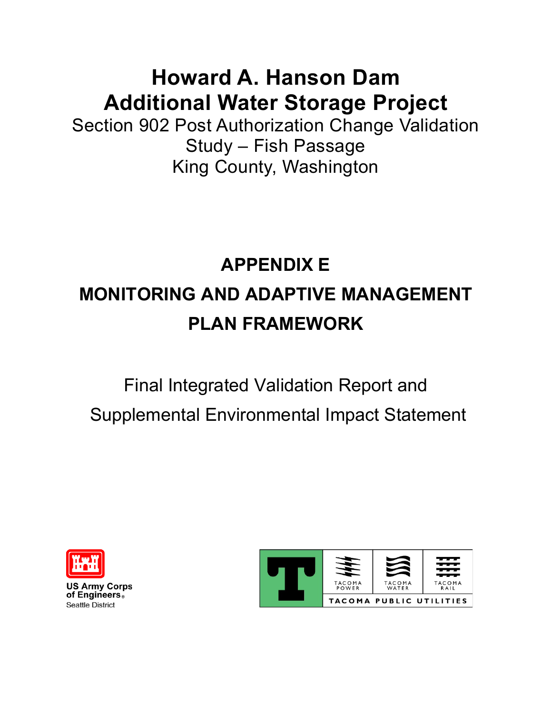## **Howard A. Hanson Dam Additional Water Storage Project**

Section 902 Post Authorization Change Validation Study – Fish Passage King County, Washington

# **APPENDIX E MONITORING AND ADAPTIVE MANAGEMENT PLAN FRAMEWORK**

# Final Integrated Validation Report and

Supplemental Environmental Impact Statement



**US Army Corps** of Engineers. **Seattle District** 

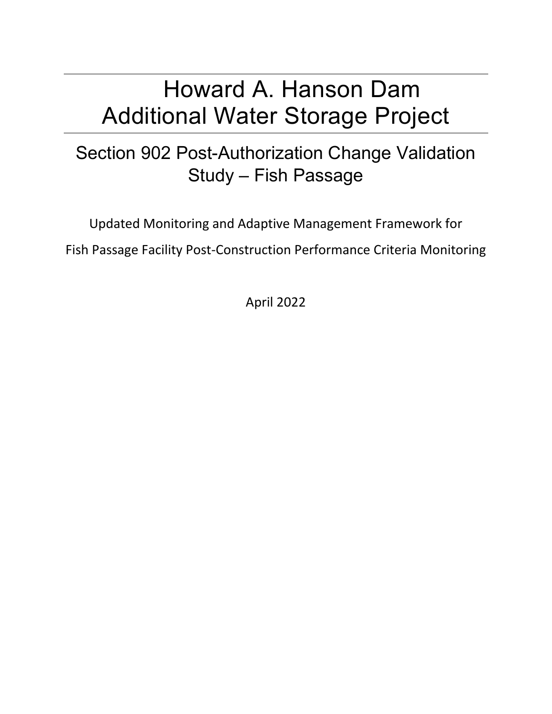## Howard A. Hanson Dam Additional Water Storage Project

## Section 902 Post-Authorization Change Validation Study – Fish Passage

Updated Monitoring and Adaptive Management Framework for Fish Passage Facility Post-Construction Performance Criteria Monitoring

April 2022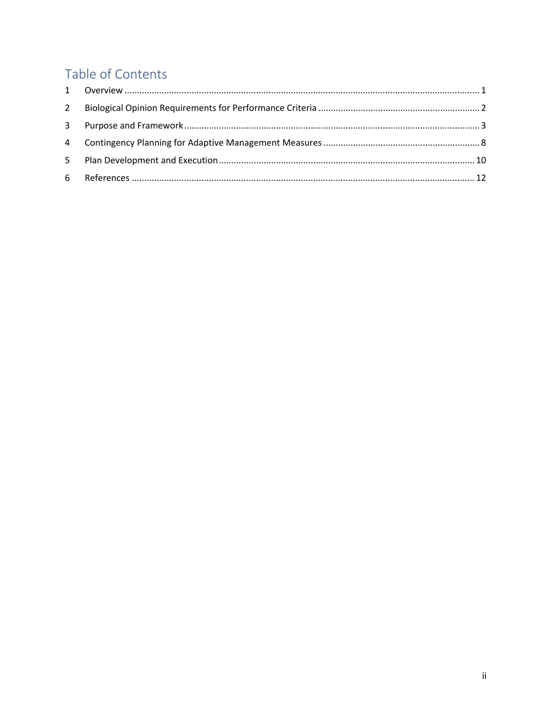### Table of Contents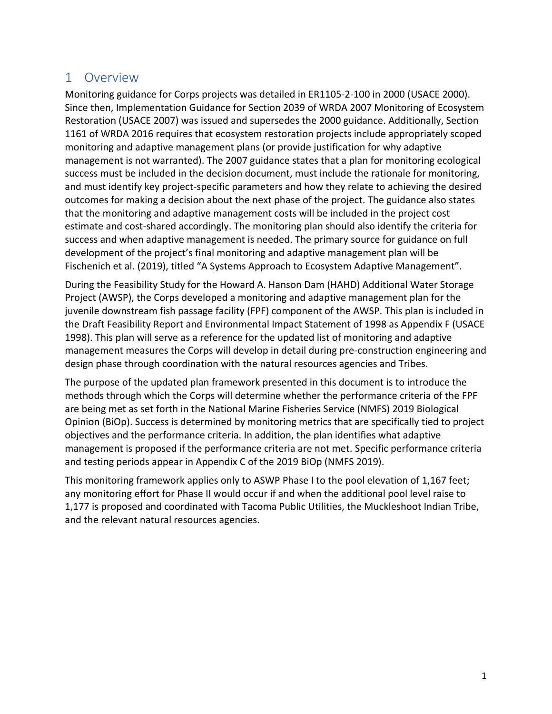#### <span id="page-3-0"></span>1 Overview

Monitoring guidance for Corps projects was detailed in ER1105-2-100 in 2000 (USACE 2000). Since then, Implementation Guidance for Section 2039 of WRDA 2007 Monitoring of Ecosystem Restoration (USACE 2007) was issued and supersedes the 2000 guidance. Additionally, Section 1161 of WRDA 2016 requires that ecosystem restoration projects include appropriately scoped monitoring and adaptive management plans (or provide justification for why adaptive management is not warranted). The 2007 guidance states that a plan for monitoring ecological success must be included in the decision document, must include the rationale for monitoring, and must identify key project-specific parameters and how they relate to achieving the desired outcomes for making a decision about the next phase of the project. The guidance also states that the monitoring and adaptive management costs will be included in the project cost estimate and cost-shared accordingly. The monitoring plan should also identify the criteria for success and when adaptive management is needed. The primary source for guidance on full development of the project's final monitoring and adaptive management plan will be Fischenich et al. (2019), titled "A Systems Approach to Ecosystem Adaptive Management".

During the Feasibility Study for the Howard A. Hanson Dam (HAHD) Additional Water Storage Project (AWSP), the Corps developed a monitoring and adaptive management plan for the juvenile downstream fish passage facility (FPF) component of the AWSP. This plan is included in the Draft Feasibility Report and Environmental Impact Statement of 1998 as Appendix F (USACE 1998). This plan will serve as a reference for the updated list of monitoring and adaptive management measures the Corps will develop in detail during pre-construction engineering and design phase through coordination with the natural resources agencies and Tribes.

The purpose of the updated plan framework presented in this document is to introduce the methods through which the Corps will determine whether the performance criteria of the FPF are being met as set forth in the National Marine Fisheries Service (NMFS) 2019 Biological Opinion (BiOp). Success is determined by monitoring metrics that are specifically tied to project objectives and the performance criteria. In addition, the plan identifies what adaptive management is proposed if the performance criteria are not met. Specific performance criteria and testing periods appear in Appendix C of the 2019 BiOp (NMFS 2019).

This monitoring framework applies only to ASWP Phase I to the pool elevation of 1,167 feet; any monitoring effort for Phase II would occur if and when the additional pool level raise to 1,177 is proposed and coordinated with Tacoma Public Utilities, the Muckleshoot Indian Tribe, and the relevant natural resources agencies.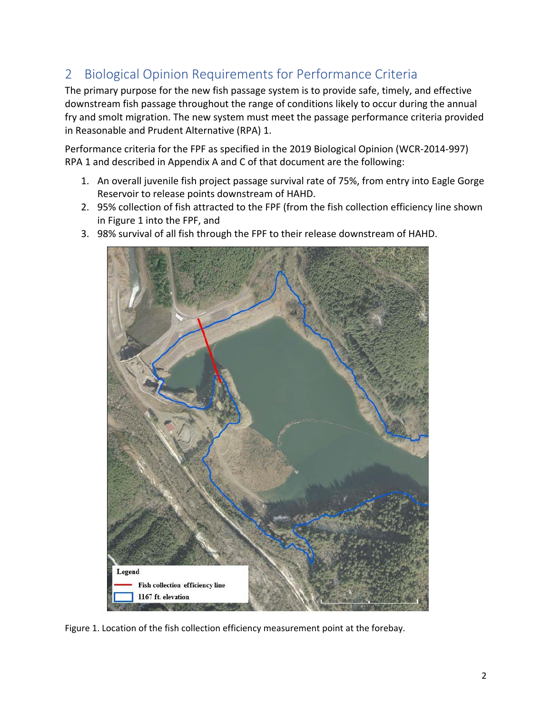#### <span id="page-4-0"></span>2 Biological Opinion Requirements for Performance Criteria

The primary purpose for the new fish passage system is to provide safe, timely, and effective downstream fish passage throughout the range of conditions likely to occur during the annual fry and smolt migration. The new system must meet the passage performance criteria provided in Reasonable and Prudent Alternative (RPA) 1.

Performance criteria for the FPF as specified in the 2019 Biological Opinion (WCR-2014-997) RPA 1 and described in Appendix A and C of that document are the following:

- 1. An overall juvenile fish project passage survival rate of 75%, from entry into Eagle Gorge Reservoir to release points downstream of HAHD.
- 2. 95% collection of fish attracted to the FPF (from the fish collection efficiency line shown in Figure 1 into the FPF, and
- 3. 98% survival of all fish through the FPF to their release downstream of HAHD.



Figure 1. Location of the fish collection efficiency measurement point at the forebay.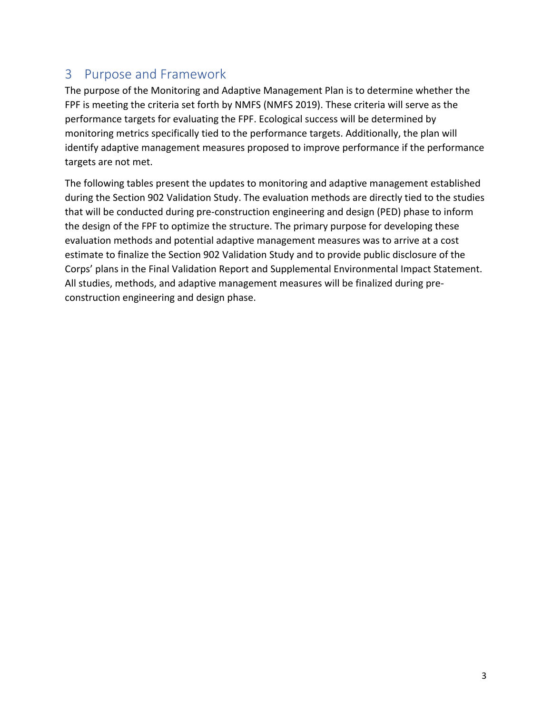#### <span id="page-5-0"></span>3 Purpose and Framework

The purpose of the Monitoring and Adaptive Management Plan is to determine whether the FPF is meeting the criteria set forth by NMFS (NMFS 2019). These criteria will serve as the performance targets for evaluating the FPF. Ecological success will be determined by monitoring metrics specifically tied to the performance targets. Additionally, the plan will identify adaptive management measures proposed to improve performance if the performance targets are not met.

The following tables present the updates to monitoring and adaptive management established during the Section 902 Validation Study. The evaluation methods are directly tied to the studies that will be conducted during pre-construction engineering and design (PED) phase to inform the design of the FPF to optimize the structure. The primary purpose for developing these evaluation methods and potential adaptive management measures was to arrive at a cost estimate to finalize the Section 902 Validation Study and to provide public disclosure of the Corps' plans in the Final Validation Report and Supplemental Environmental Impact Statement. All studies, methods, and adaptive management measures will be finalized during preconstruction engineering and design phase.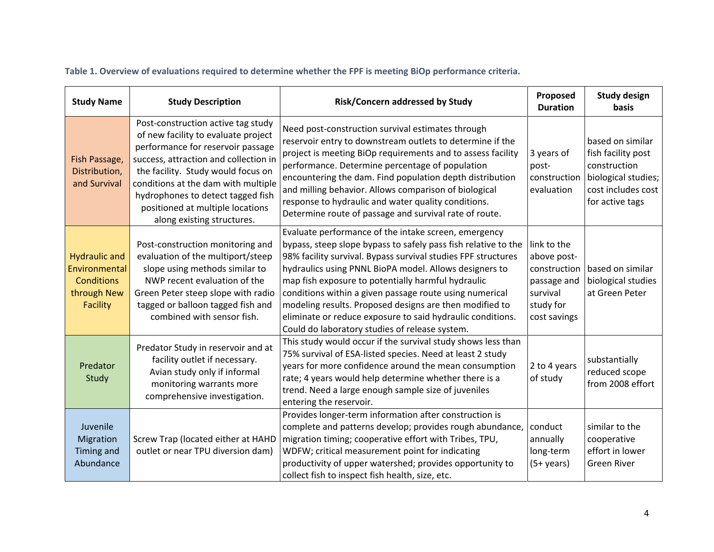|  | Table 1. Overview of evaluations required to determine whether the FPF is meeting BiOp performance criteria. |  |  |
|--|--------------------------------------------------------------------------------------------------------------|--|--|
|--|--------------------------------------------------------------------------------------------------------------|--|--|

| <b>Study Name</b>                                                                     | <b>Study Description</b>                                                                                                                                                                                                                                                                                                                    | Risk/Concern addressed by Study                                                                                                                                                                                                                                                                                                                                                                                                                                                                                                               | Proposed<br><b>Duration</b>                                                                        | <b>Study design</b><br>basis                                                                                           |
|---------------------------------------------------------------------------------------|---------------------------------------------------------------------------------------------------------------------------------------------------------------------------------------------------------------------------------------------------------------------------------------------------------------------------------------------|-----------------------------------------------------------------------------------------------------------------------------------------------------------------------------------------------------------------------------------------------------------------------------------------------------------------------------------------------------------------------------------------------------------------------------------------------------------------------------------------------------------------------------------------------|----------------------------------------------------------------------------------------------------|------------------------------------------------------------------------------------------------------------------------|
| Fish Passage,<br>Distribution,<br>and Survival                                        | Post-construction active tag study<br>of new facility to evaluate project<br>performance for reservoir passage<br>success, attraction and collection in<br>the facility. Study would focus on<br>conditions at the dam with multiple<br>hydrophones to detect tagged fish<br>positioned at multiple locations<br>along existing structures. | Need post-construction survival estimates through<br>reservoir entry to downstream outlets to determine if the<br>project is meeting BiOp requirements and to assess facility<br>performance. Determine percentage of population<br>encountering the dam. Find population depth distribution<br>and milling behavior. Allows comparison of biological<br>response to hydraulic and water quality conditions.<br>Determine route of passage and survival rate of route.                                                                        | 3 years of<br>post-<br>construction<br>evaluation                                                  | based on similar<br>fish facility post<br>construction<br>biological studies;<br>cost includes cost<br>for active tags |
| <b>Hydraulic and</b><br>Environmental<br><b>Conditions</b><br>through New<br>Facility | Post-construction monitoring and<br>evaluation of the multiport/steep<br>slope using methods similar to<br>NWP recent evaluation of the<br>Green Peter steep slope with radio<br>tagged or balloon tagged fish and<br>combined with sensor fish.                                                                                            | Evaluate performance of the intake screen, emergency<br>bypass, steep slope bypass to safely pass fish relative to the<br>98% facility survival. Bypass survival studies FPF structures<br>hydraulics using PNNL BioPA model. Allows designers to<br>map fish exposure to potentially harmful hydraulic<br>conditions within a given passage route using numerical<br>modeling results. Proposed designs are then modified to<br>eliminate or reduce exposure to said hydraulic conditions.<br>Could do laboratory studies of release system. | link to the<br>above post-<br>construction<br>passage and<br>survival<br>study for<br>cost savings | based on similar<br>biological studies<br>at Green Peter                                                               |
| Predator<br>Study                                                                     | Predator Study in reservoir and at<br>facility outlet if necessary.<br>Avian study only if informal<br>monitoring warrants more<br>comprehensive investigation.                                                                                                                                                                             | This study would occur if the survival study shows less than<br>75% survival of ESA-listed species. Need at least 2 study<br>years for more confidence around the mean consumption<br>rate; 4 years would help determine whether there is a<br>trend. Need a large enough sample size of juveniles<br>entering the reservoir.                                                                                                                                                                                                                 | 2 to 4 years<br>of study                                                                           | substantially<br>reduced scope<br>from 2008 effort                                                                     |
| Juvenile<br>Migration<br><b>Timing and</b><br>Abundance                               | Screw Trap (located either at HAHD<br>outlet or near TPU diversion dam)                                                                                                                                                                                                                                                                     | Provides longer-term information after construction is<br>complete and patterns develop; provides rough abundance,<br>migration timing; cooperative effort with Tribes, TPU,<br>WDFW; critical measurement point for indicating<br>productivity of upper watershed; provides opportunity to<br>collect fish to inspect fish health, size, etc.                                                                                                                                                                                                | conduct<br>annually<br>long-term<br>$(5+years)$                                                    | similar to the<br>cooperative<br>effort in lower<br><b>Green River</b>                                                 |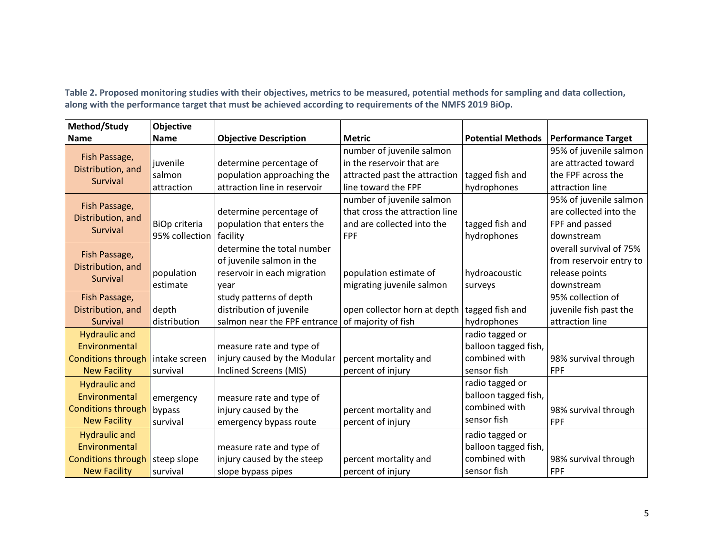**Table 2. Proposed monitoring studies with their objectives, metrics to be measured, potential methods for sampling and data collection, along with the performance target that must be achieved according to requirements of the NMFS 2019 BiOp.**

| Method/Study              | Objective      |                              |                                                |                          |                           |
|---------------------------|----------------|------------------------------|------------------------------------------------|--------------------------|---------------------------|
| <b>Name</b>               | <b>Name</b>    | <b>Objective Description</b> | <b>Metric</b>                                  | <b>Potential Methods</b> | <b>Performance Target</b> |
| Fish Passage,             |                |                              | number of juvenile salmon                      |                          | 95% of juvenile salmon    |
| Distribution, and         | juvenile       | determine percentage of      | in the reservoir that are                      |                          | are attracted toward      |
| Survival                  | salmon         | population approaching the   | attracted past the attraction                  | tagged fish and          | the FPF across the        |
|                           | attraction     | attraction line in reservoir | line toward the FPF                            | hydrophones              | attraction line           |
| Fish Passage,             |                |                              | number of juvenile salmon                      |                          | 95% of juvenile salmon    |
| Distribution, and         |                | determine percentage of      | that cross the attraction line                 |                          | are collected into the    |
| Survival                  | BiOp criteria  | population that enters the   | and are collected into the                     | tagged fish and          | FPF and passed            |
|                           | 95% collection | facility                     | FPF                                            | hydrophones              | downstream                |
| Fish Passage,             |                | determine the total number   |                                                |                          | overall survival of 75%   |
| Distribution, and         |                | of juvenile salmon in the    |                                                |                          | from reservoir entry to   |
| Survival                  | population     | reservoir in each migration  | population estimate of                         | hydroacoustic            | release points            |
|                           | estimate       | year                         | migrating juvenile salmon                      | surveys                  | downstream                |
| Fish Passage,             |                | study patterns of depth      |                                                |                          | 95% collection of         |
| Distribution, and         | depth          | distribution of juvenile     | open collector horn at depth   tagged fish and |                          | juvenile fish past the    |
| Survival                  | distribution   | salmon near the FPF entrance | of majority of fish                            | hydrophones              | attraction line           |
| <b>Hydraulic and</b>      |                |                              |                                                | radio tagged or          |                           |
| Environmental             |                | measure rate and type of     |                                                | balloon tagged fish,     |                           |
| <b>Conditions through</b> | intake screen  | injury caused by the Modular | percent mortality and                          | combined with            | 98% survival through      |
| <b>New Facility</b>       | survival       | Inclined Screens (MIS)       | percent of injury                              | sensor fish              | <b>FPF</b>                |
| <b>Hydraulic and</b>      |                |                              |                                                | radio tagged or          |                           |
| Environmental             | emergency      | measure rate and type of     |                                                | balloon tagged fish,     |                           |
| <b>Conditions through</b> | bypass         | injury caused by the         | percent mortality and                          | combined with            | 98% survival through      |
| <b>New Facility</b>       | survival       | emergency bypass route       | percent of injury                              | sensor fish              | FPF                       |
| <b>Hydraulic and</b>      |                |                              |                                                | radio tagged or          |                           |
| Environmental             |                | measure rate and type of     |                                                | balloon tagged fish,     |                           |
| <b>Conditions through</b> | steep slope    | injury caused by the steep   | percent mortality and                          | combined with            | 98% survival through      |
| <b>New Facility</b>       | survival       | slope bypass pipes           | percent of injury                              | sensor fish              | <b>FPF</b>                |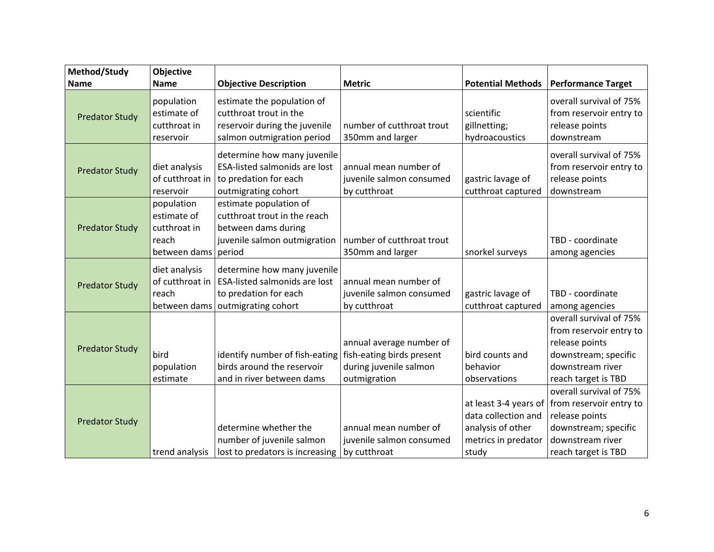| Method/Study          | <b>Objective</b>      |                                      |                           |                          |                                               |
|-----------------------|-----------------------|--------------------------------------|---------------------------|--------------------------|-----------------------------------------------|
| <b>Name</b>           | <b>Name</b>           | <b>Objective Description</b>         | <b>Metric</b>             | <b>Potential Methods</b> | <b>Performance Target</b>                     |
|                       | population            | estimate the population of           |                           |                          | overall survival of 75%                       |
| <b>Predator Study</b> | estimate of           | cutthroat trout in the               |                           | scientific               | from reservoir entry to                       |
|                       | cutthroat in          | reservoir during the juvenile        | number of cutthroat trout | gillnetting;             | release points                                |
|                       | reservoir             | salmon outmigration period           | 350mm and larger          | hydroacoustics           | downstream                                    |
|                       |                       | determine how many juvenile          |                           |                          | overall survival of 75%                       |
|                       | diet analysis         | <b>ESA-listed salmonids are lost</b> | annual mean number of     |                          | from reservoir entry to                       |
| <b>Predator Study</b> | of cutthroat in       | to predation for each                | juvenile salmon consumed  | gastric lavage of        | release points                                |
|                       | reservoir             | outmigrating cohort                  | by cutthroat              | cutthroat captured       | downstream                                    |
|                       | population            | estimate population of               |                           |                          |                                               |
|                       | estimate of           | cutthroat trout in the reach         |                           |                          |                                               |
| <b>Predator Study</b> | cutthroat in          | between dams during                  |                           |                          |                                               |
|                       | reach                 | juvenile salmon outmigration         | number of cutthroat trout |                          | TBD - coordinate                              |
|                       | between dams   period |                                      | 350mm and larger          | snorkel surveys          | among agencies                                |
|                       | diet analysis         | determine how many juvenile          |                           |                          |                                               |
|                       | of cutthroat in       | <b>ESA-listed salmonids are lost</b> | annual mean number of     |                          |                                               |
| <b>Predator Study</b> | reach                 | to predation for each                | juvenile salmon consumed  | gastric lavage of        | TBD - coordinate                              |
|                       | between dams          | outmigrating cohort                  | by cutthroat              | cutthroat captured       | among agencies                                |
|                       |                       |                                      |                           |                          | overall survival of 75%                       |
|                       |                       |                                      |                           |                          | from reservoir entry to                       |
|                       |                       |                                      | annual average number of  |                          | release points                                |
| <b>Predator Study</b> | bird                  | identify number of fish-eating       | fish-eating birds present | bird counts and          | downstream; specific                          |
|                       | population            | birds around the reservoir           | during juvenile salmon    | behavior                 | downstream river                              |
|                       | estimate              | and in river between dams            | outmigration              | observations             | reach target is TBD                           |
|                       |                       |                                      |                           |                          | overall survival of 75%                       |
|                       |                       |                                      |                           |                          | at least 3-4 years of from reservoir entry to |
|                       |                       |                                      |                           | data collection and      | release points                                |
| <b>Predator Study</b> |                       | determine whether the                | annual mean number of     | analysis of other        | downstream; specific                          |
|                       |                       | number of juvenile salmon            | juvenile salmon consumed  | metrics in predator      | downstream river                              |
|                       | trend analysis        | lost to predators is increasing      | by cutthroat              | study                    | reach target is TBD                           |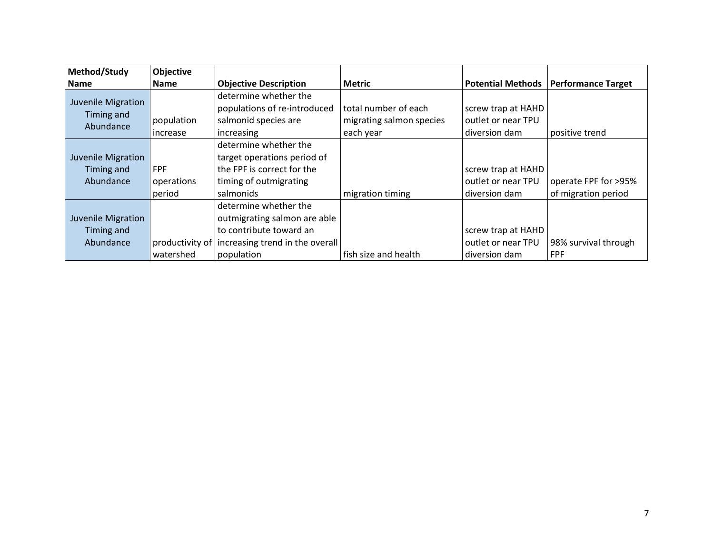| Method/Study                                  | <b>Objective</b>                   |                                                                                                                                                       |                                                               |                                                           |                                             |
|-----------------------------------------------|------------------------------------|-------------------------------------------------------------------------------------------------------------------------------------------------------|---------------------------------------------------------------|-----------------------------------------------------------|---------------------------------------------|
| <b>Name</b>                                   | <b>Name</b>                        | <b>Objective Description</b>                                                                                                                          | <b>Metric</b>                                                 | <b>Potential Methods</b>                                  | <b>Performance Target</b>                   |
| Juvenile Migration<br>Timing and<br>Abundance | population<br>increase             | determine whether the<br>populations of re-introduced<br>salmonid species are<br>increasing                                                           | total number of each<br>migrating salmon species<br>each year | screw trap at HAHD<br>outlet or near TPU<br>diversion dam | positive trend                              |
| Juvenile Migration<br>Timing and<br>Abundance | <b>FPF</b><br>operations<br>period | determine whether the<br>target operations period of<br>the FPF is correct for the<br>timing of outmigrating<br>salmonids                             | migration timing                                              | screw trap at HAHD<br>outlet or near TPU<br>diversion dam | operate FPF for >95%<br>of migration period |
| Juvenile Migration<br>Timing and<br>Abundance | watershed                          | determine whether the<br>outmigrating salmon are able<br>to contribute toward an<br>productivity of   increasing trend in the overall  <br>population | fish size and health                                          | screw trap at HAHD<br>outlet or near TPU<br>diversion dam | 98% survival through<br><b>FPF</b>          |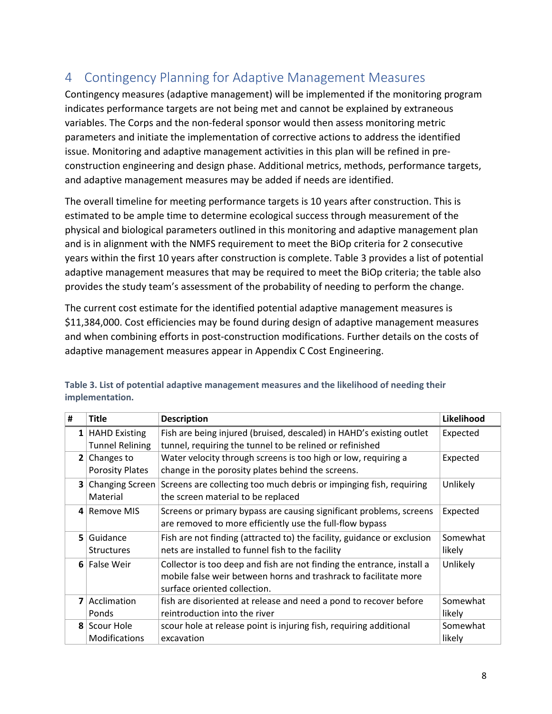#### <span id="page-10-0"></span>4 Contingency Planning for Adaptive Management Measures

Contingency measures (adaptive management) will be implemented if the monitoring program indicates performance targets are not being met and cannot be explained by extraneous variables. The Corps and the non-federal sponsor would then assess monitoring metric parameters and initiate the implementation of corrective actions to address the identified issue. Monitoring and adaptive management activities in this plan will be refined in preconstruction engineering and design phase. Additional metrics, methods, performance targets, and adaptive management measures may be added if needs are identified.

The overall timeline for meeting performance targets is 10 years after construction. This is estimated to be ample time to determine ecological success through measurement of the physical and biological parameters outlined in this monitoring and adaptive management plan and is in alignment with the NMFS requirement to meet the BiOp criteria for 2 consecutive years within the first 10 years after construction is complete. Table 3 provides a list of potential adaptive management measures that may be required to meet the BiOp criteria; the table also provides the study team's assessment of the probability of needing to perform the change.

The current cost estimate for the identified potential adaptive management measures is \$11,384,000. Cost efficiencies may be found during design of adaptive management measures and when combining efforts in post-construction modifications. Further details on the costs of adaptive management measures appear in Appendix C Cost Engineering.

| #              | <b>Title</b>                                  | <b>Description</b>                                                                                                                                                         | Likelihood         |
|----------------|-----------------------------------------------|----------------------------------------------------------------------------------------------------------------------------------------------------------------------------|--------------------|
|                | $1$ HAHD Existing<br><b>Tunnel Relining</b>   | Fish are being injured (bruised, descaled) in HAHD's existing outlet<br>tunnel, requiring the tunnel to be relined or refinished                                           | Expected           |
|                | <b>2</b> Changes to<br><b>Porosity Plates</b> | Water velocity through screens is too high or low, requiring a<br>change in the porosity plates behind the screens.                                                        | Expected           |
| 3 <sup>1</sup> | <b>Changing Screen</b><br>Material            | Screens are collecting too much debris or impinging fish, requiring<br>the screen material to be replaced                                                                  | Unlikely           |
|                | 4 Remove MIS                                  | Screens or primary bypass are causing significant problems, screens<br>are removed to more efficiently use the full-flow bypass                                            | Expected           |
| 51             | Guidance<br><b>Structures</b>                 | Fish are not finding (attracted to) the facility, guidance or exclusion<br>nets are installed to funnel fish to the facility                                               | Somewhat<br>likely |
|                | 6 False Weir                                  | Collector is too deep and fish are not finding the entrance, install a<br>mobile false weir between horns and trashrack to facilitate more<br>surface oriented collection. | Unlikely           |
|                | 7 Acclimation<br>Ponds                        | fish are disoriented at release and need a pond to recover before<br>reintroduction into the river                                                                         | Somewhat<br>likely |
|                | 8 Scour Hole<br>Modifications                 | scour hole at release point is injuring fish, requiring additional<br>excavation                                                                                           | Somewhat<br>likely |

**Table 3. List of potential adaptive management measures and the likelihood of needing their implementation.**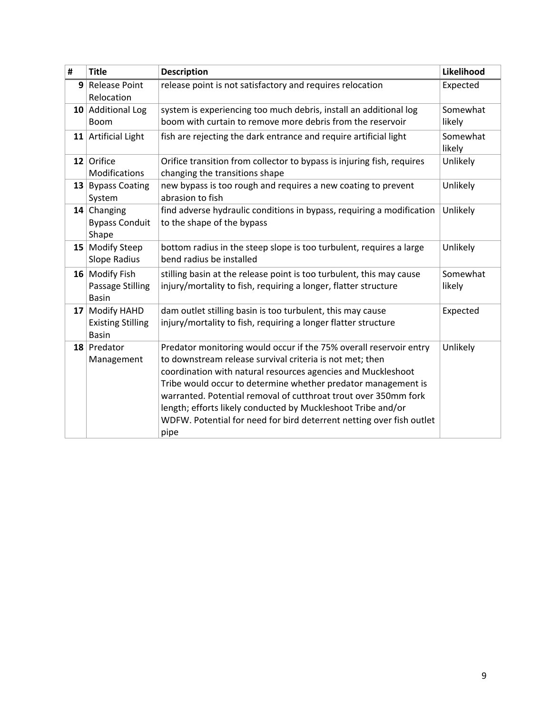| # | <b>Title</b>                                               | <b>Description</b>                                                                                                                                                                                                                                                                                                                                                                                                                                                                 | Likelihood         |
|---|------------------------------------------------------------|------------------------------------------------------------------------------------------------------------------------------------------------------------------------------------------------------------------------------------------------------------------------------------------------------------------------------------------------------------------------------------------------------------------------------------------------------------------------------------|--------------------|
|   | 9 Release Point<br>Relocation                              | release point is not satisfactory and requires relocation                                                                                                                                                                                                                                                                                                                                                                                                                          | Expected           |
|   | 10 Additional Log<br><b>Boom</b>                           | system is experiencing too much debris, install an additional log<br>boom with curtain to remove more debris from the reservoir                                                                                                                                                                                                                                                                                                                                                    | Somewhat<br>likely |
|   | 11 Artificial Light                                        | fish are rejecting the dark entrance and require artificial light                                                                                                                                                                                                                                                                                                                                                                                                                  | Somewhat<br>likely |
|   | 12 Orifice<br>Modifications                                | Orifice transition from collector to bypass is injuring fish, requires<br>changing the transitions shape                                                                                                                                                                                                                                                                                                                                                                           | Unlikely           |
|   | 13 Bypass Coating<br>System                                | new bypass is too rough and requires a new coating to prevent<br>abrasion to fish                                                                                                                                                                                                                                                                                                                                                                                                  | Unlikely           |
|   | $14$ Changing<br><b>Bypass Conduit</b><br>Shape            | find adverse hydraulic conditions in bypass, requiring a modification<br>to the shape of the bypass                                                                                                                                                                                                                                                                                                                                                                                | Unlikely           |
|   | 15 Modify Steep<br>Slope Radius                            | bottom radius in the steep slope is too turbulent, requires a large<br>bend radius be installed                                                                                                                                                                                                                                                                                                                                                                                    | Unlikely           |
|   | 16 Modify Fish<br>Passage Stilling<br><b>Basin</b>         | stilling basin at the release point is too turbulent, this may cause<br>injury/mortality to fish, requiring a longer, flatter structure                                                                                                                                                                                                                                                                                                                                            | Somewhat<br>likely |
|   | 17 Modify HAHD<br><b>Existing Stilling</b><br><b>Basin</b> | dam outlet stilling basin is too turbulent, this may cause<br>injury/mortality to fish, requiring a longer flatter structure                                                                                                                                                                                                                                                                                                                                                       | Expected           |
|   | 18 Predator<br>Management                                  | Predator monitoring would occur if the 75% overall reservoir entry<br>to downstream release survival criteria is not met; then<br>coordination with natural resources agencies and Muckleshoot<br>Tribe would occur to determine whether predator management is<br>warranted. Potential removal of cutthroat trout over 350mm fork<br>length; efforts likely conducted by Muckleshoot Tribe and/or<br>WDFW. Potential for need for bird deterrent netting over fish outlet<br>pipe | Unlikely           |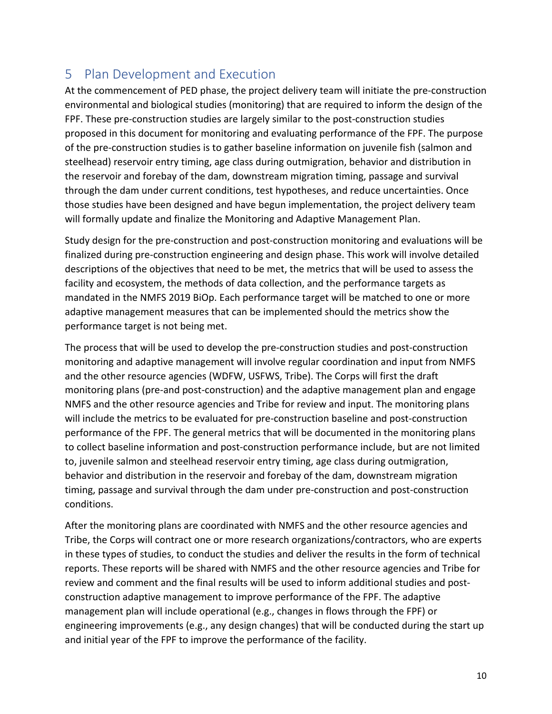#### <span id="page-12-0"></span>5 Plan Development and Execution

At the commencement of PED phase, the project delivery team will initiate the pre-construction environmental and biological studies (monitoring) that are required to inform the design of the FPF. These pre-construction studies are largely similar to the post-construction studies proposed in this document for monitoring and evaluating performance of the FPF. The purpose of the pre-construction studies is to gather baseline information on juvenile fish (salmon and steelhead) reservoir entry timing, age class during outmigration, behavior and distribution in the reservoir and forebay of the dam, downstream migration timing, passage and survival through the dam under current conditions, test hypotheses, and reduce uncertainties. Once those studies have been designed and have begun implementation, the project delivery team will formally update and finalize the Monitoring and Adaptive Management Plan.

Study design for the pre-construction and post-construction monitoring and evaluations will be finalized during pre-construction engineering and design phase. This work will involve detailed descriptions of the objectives that need to be met, the metrics that will be used to assess the facility and ecosystem, the methods of data collection, and the performance targets as mandated in the NMFS 2019 BiOp. Each performance target will be matched to one or more adaptive management measures that can be implemented should the metrics show the performance target is not being met.

The process that will be used to develop the pre-construction studies and post-construction monitoring and adaptive management will involve regular coordination and input from NMFS and the other resource agencies (WDFW, USFWS, Tribe). The Corps will first the draft monitoring plans (pre-and post-construction) and the adaptive management plan and engage NMFS and the other resource agencies and Tribe for review and input. The monitoring plans will include the metrics to be evaluated for pre-construction baseline and post-construction performance of the FPF. The general metrics that will be documented in the monitoring plans to collect baseline information and post-construction performance include, but are not limited to, juvenile salmon and steelhead reservoir entry timing, age class during outmigration, behavior and distribution in the reservoir and forebay of the dam, downstream migration timing, passage and survival through the dam under pre-construction and post-construction conditions.

After the monitoring plans are coordinated with NMFS and the other resource agencies and Tribe, the Corps will contract one or more research organizations/contractors, who are experts in these types of studies, to conduct the studies and deliver the results in the form of technical reports. These reports will be shared with NMFS and the other resource agencies and Tribe for review and comment and the final results will be used to inform additional studies and postconstruction adaptive management to improve performance of the FPF. The adaptive management plan will include operational (e.g., changes in flows through the FPF) or engineering improvements (e.g., any design changes) that will be conducted during the start up and initial year of the FPF to improve the performance of the facility.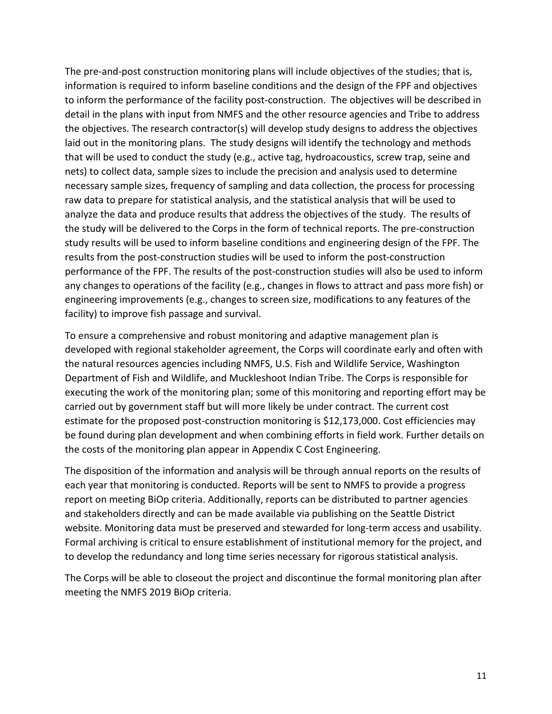The pre-and-post construction monitoring plans will include objectives of the studies; that is, information is required to inform baseline conditions and the design of the FPF and objectives to inform the performance of the facility post-construction. The objectives will be described in detail in the plans with input from NMFS and the other resource agencies and Tribe to address the objectives. The research contractor(s) will develop study designs to address the objectives laid out in the monitoring plans. The study designs will identify the technology and methods that will be used to conduct the study (e.g., active tag, hydroacoustics, screw trap, seine and nets) to collect data, sample sizes to include the precision and analysis used to determine necessary sample sizes, frequency of sampling and data collection, the process for processing raw data to prepare for statistical analysis, and the statistical analysis that will be used to analyze the data and produce results that address the objectives of the study. The results of the study will be delivered to the Corps in the form of technical reports. The pre-construction study results will be used to inform baseline conditions and engineering design of the FPF. The results from the post-construction studies will be used to inform the post-construction performance of the FPF. The results of the post-construction studies will also be used to inform any changes to operations of the facility (e.g., changes in flows to attract and pass more fish) or engineering improvements (e.g., changes to screen size, modifications to any features of the facility) to improve fish passage and survival.

To ensure a comprehensive and robust monitoring and adaptive management plan is developed with regional stakeholder agreement, the Corps will coordinate early and often with the natural resources agencies including NMFS, U.S. Fish and Wildlife Service, Washington Department of Fish and Wildlife, and Muckleshoot Indian Tribe. The Corps is responsible for executing the work of the monitoring plan; some of this monitoring and reporting effort may be carried out by government staff but will more likely be under contract. The current cost estimate for the proposed post-construction monitoring is \$12,173,000. Cost efficiencies may be found during plan development and when combining efforts in field work. Further details on the costs of the monitoring plan appear in Appendix C Cost Engineering.

The disposition of the information and analysis will be through annual reports on the results of each year that monitoring is conducted. Reports will be sent to NMFS to provide a progress report on meeting BiOp criteria. Additionally, reports can be distributed to partner agencies and stakeholders directly and can be made available via publishing on the Seattle District website. Monitoring data must be preserved and stewarded for long-term access and usability. Formal archiving is critical to ensure establishment of institutional memory for the project, and to develop the redundancy and long time series necessary for rigorous statistical analysis.

The Corps will be able to closeout the project and discontinue the formal monitoring plan after meeting the NMFS 2019 BiOp criteria.